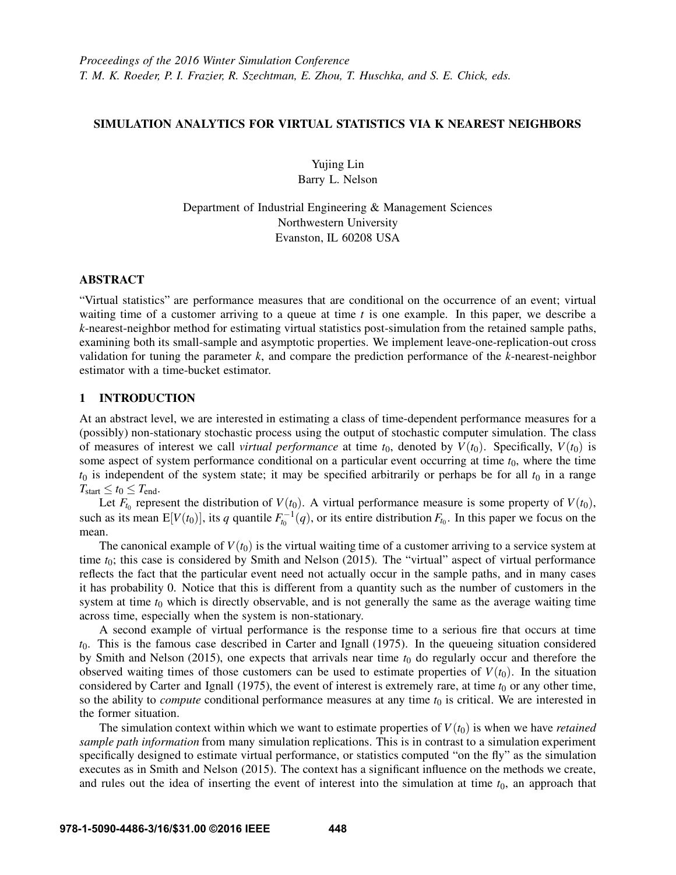# SIMULATION ANALYTICS FOR VIRTUAL STATISTICS VIA K NEAREST NEIGHBORS

Yujing Lin Barry L. Nelson

Department of Industrial Engineering & Management Sciences Northwestern University Evanston, IL 60208 USA

# ABSTRACT

"Virtual statistics" are performance measures that are conditional on the occurrence of an event; virtual waiting time of a customer arriving to a queue at time  $t$  is one example. In this paper, we describe a k-nearest-neighbor method for estimating virtual statistics post-simulation from the retained sample paths, examining both its small-sample and asymptotic properties. We implement leave-one-replication-out cross validation for tuning the parameter  $k$ , and compare the prediction performance of the  $k$ -nearest-neighbor estimator with a time-bucket estimator.

# 1 INTRODUCTION

At an abstract level, we are interested in estimating a class of time-dependent performance measures for a (possibly) non-stationary stochastic process using the output of stochastic computer simulation. The class of measures of interest we call *virtual performance* at time  $t_0$ , denoted by  $V(t_0)$ . Specifically,  $V(t_0)$  is some aspect of system performance conditional on a particular event occurring at time  $t_0$ , where the time  $t_0$  is independent of the system state; it may be specified arbitrarily or perhaps be for all  $t_0$  in a range  $T_{\text{start}} \leq t_0 \leq T_{\text{end}}$ .

Let  $F_{t_0}$  represent the distribution of  $V(t_0)$ . A virtual performance measure is some property of  $V(t_0)$ , such as its mean  $E[V(t_0)]$ , its q quantile  $F_{t_0}^{-1}(q)$ , or its entire distribution  $F_{t_0}$ . In this paper we focus on the mean.

The canonical example of  $V(t_0)$  is the virtual waiting time of a customer arriving to a service system at time  $t_0$ ; this case is considered by Smith and Nelson (2015). The "virtual" aspect of virtual performance reflects the fact that the particular event need not actually occur in the sample paths, and in many cases it has probability 0. Notice that this is different from a quantity such as the number of customers in the system at time  $t_0$  which is directly observable, and is not generally the same as the average waiting time across time, especially when the system is non-stationary.

A second example of virtual performance is the response time to a serious fire that occurs at time  $t<sub>0</sub>$ . This is the famous case described in Carter and Ignall (1975). In the queueing situation considered by Smith and Nelson (2015), one expects that arrivals near time  $t_0$  do regularly occur and therefore the observed waiting times of those customers can be used to estimate properties of  $V(t_0)$ . In the situation considered by Carter and Ignall (1975), the event of interest is extremely rare, at time  $t_0$  or any other time, so the ability to *compute* conditional performance measures at any time  $t_0$  is critical. We are interested in the former situation.

The simulation context within which we want to estimate properties of  $V(t_0)$  is when we have *retained* sample path information from many simulation replications. This is in contrast to a simulation experiment specifically designed to estimate virtual performance, or statistics computed "on the fly" as the simulation executes as in Smith and Nelson (2015). The context has a significant influence on the methods we create, and rules out the idea of inserting the event of interest into the simulation at time  $t_0$ , an approach that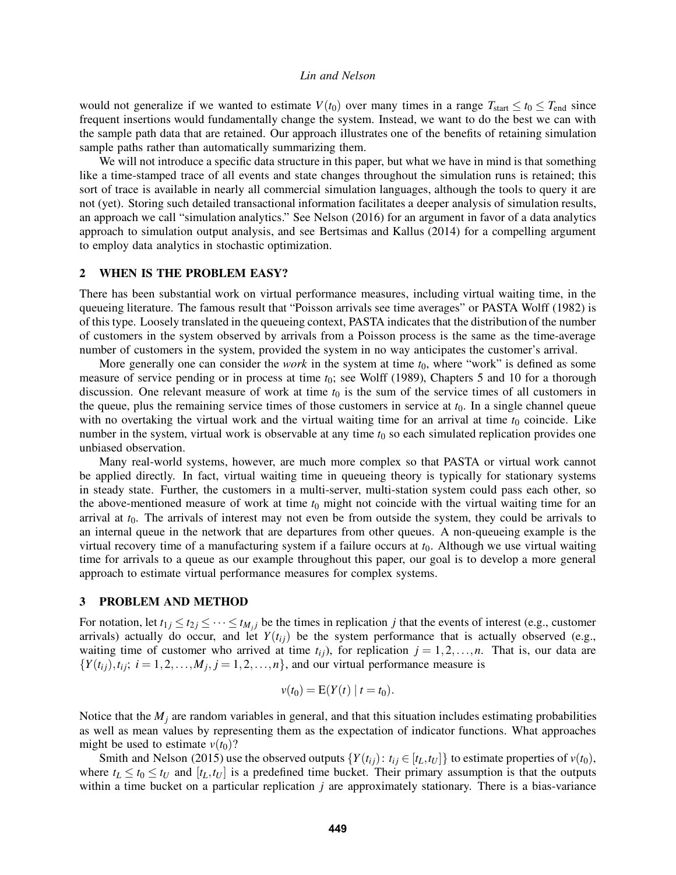would not generalize if we wanted to estimate  $V(t_0)$  over many times in a range  $T_{start} \le t_0 \le T_{end}$  since frequent insertions would fundamentally change the system. Instead, we want to do the best we can with the sample path data that are retained. Our approach illustrates one of the benefits of retaining simulation sample paths rather than automatically summarizing them.

We will not introduce a specific data structure in this paper, but what we have in mind is that something like a time-stamped trace of all events and state changes throughout the simulation runs is retained; this sort of trace is available in nearly all commercial simulation languages, although the tools to query it are not (yet). Storing such detailed transactional information facilitates a deeper analysis of simulation results, an approach we call "simulation analytics." See Nelson (2016) for an argument in favor of a data analytics approach to simulation output analysis, and see Bertsimas and Kallus (2014) for a compelling argument to employ data analytics in stochastic optimization.

# 2 WHEN IS THE PROBLEM EASY?

There has been substantial work on virtual performance measures, including virtual waiting time, in the queueing literature. The famous result that "Poisson arrivals see time averages" or PASTA Wolff (1982) is of this type. Loosely translated in the queueing context, PASTA indicates that the distribution of the number of customers in the system observed by arrivals from a Poisson process is the same as the time-average number of customers in the system, provided the system in no way anticipates the customer's arrival.

More generally one can consider the *work* in the system at time  $t_0$ , where "work" is defined as some measure of service pending or in process at time  $t_0$ ; see Wolff (1989), Chapters 5 and 10 for a thorough discussion. One relevant measure of work at time  $t_0$  is the sum of the service times of all customers in the queue, plus the remaining service times of those customers in service at  $t<sub>0</sub>$ . In a single channel queue with no overtaking the virtual work and the virtual waiting time for an arrival at time  $t_0$  coincide. Like number in the system, virtual work is observable at any time  $t_0$  so each simulated replication provides one unbiased observation.

Many real-world systems, however, are much more complex so that PASTA or virtual work cannot be applied directly. In fact, virtual waiting time in queueing theory is typically for stationary systems in steady state. Further, the customers in a multi-server, multi-station system could pass each other, so the above-mentioned measure of work at time  $t_0$  might not coincide with the virtual waiting time for an arrival at  $t_0$ . The arrivals of interest may not even be from outside the system, they could be arrivals to an internal queue in the network that are departures from other queues. A non-queueing example is the virtual recovery time of a manufacturing system if a failure occurs at  $t_0$ . Although we use virtual waiting time for arrivals to a queue as our example throughout this paper, our goal is to develop a more general approach to estimate virtual performance measures for complex systems.

# 3 PROBLEM AND METHOD

For notation, let  $t_{1j} \le t_{2j} \le \cdots \le t_{M_jj}$  be the times in replication j that the events of interest (e.g., customer arrivals) actually do occur, and let  $Y(t_{ij})$  be the system performance that is actually observed (e.g., waiting time of customer who arrived at time  $t_{ij}$ ), for replication  $j = 1, 2, \ldots, n$ . That is, our data are  $\{Y(t_{ij}), t_{ij}; i = 1, 2, \ldots, M_j, j = 1, 2, \ldots, n\}$ , and our virtual performance measure is

$$
v(t_0) = \mathbf{E}(Y(t) \mid t = t_0).
$$

Notice that the  $M_i$  are random variables in general, and that this situation includes estimating probabilities as well as mean values by representing them as the expectation of indicator functions. What approaches might be used to estimate  $v(t_0)$ ?

Smith and Nelson (2015) use the observed outputs  $\{Y(t_{ij}): t_{ij} \in [t_L, t_U]\}$  to estimate properties of  $v(t_0)$ , where  $t_L \le t_0 \le t_U$  and  $[t_L, t_U]$  is a predefined time bucket. Their primary assumption is that the outputs within a time bucket on a particular replication  $j$  are approximately stationary. There is a bias-variance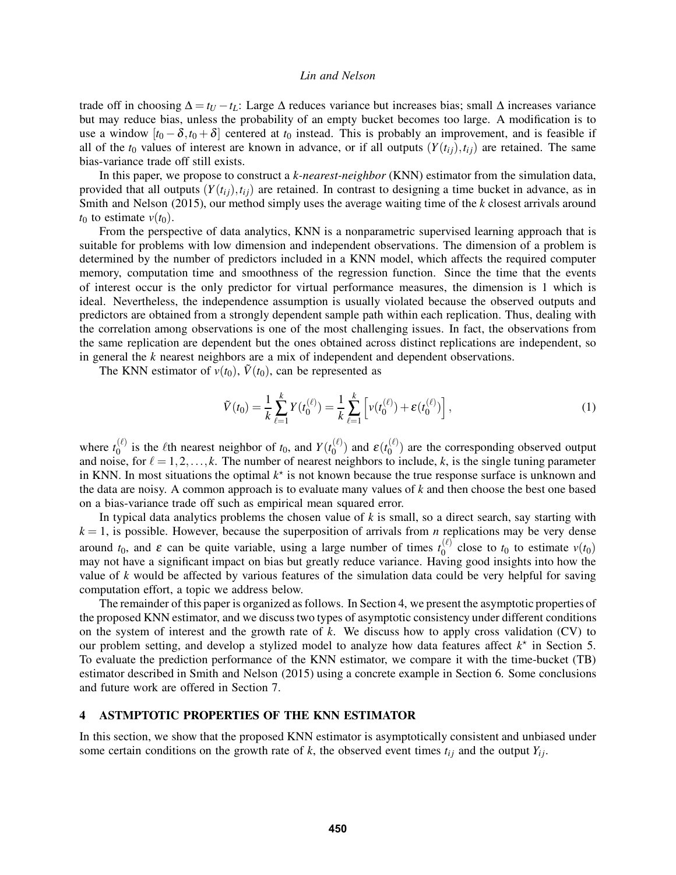trade off in choosing  $\Delta = t_U - t_L$ : Large  $\Delta$  reduces variance but increases bias; small  $\Delta$  increases variance but may reduce bias, unless the probability of an empty bucket becomes too large. A modification is to use a window  $[t_0 - \delta, t_0 + \delta]$  centered at  $t_0$  instead. This is probably an improvement, and is feasible if all of the  $t_0$  values of interest are known in advance, or if all outputs  $(Y(t_{ii}), t_{ii})$  are retained. The same bias-variance trade off still exists.

In this paper, we propose to construct a k-nearest-neighbor (KNN) estimator from the simulation data, provided that all outputs  $(Y(t_{ij}), t_{ij})$  are retained. In contrast to designing a time bucket in advance, as in Smith and Nelson (2015), our method simply uses the average waiting time of the k closest arrivals around  $t_0$  to estimate  $v(t_0)$ .

From the perspective of data analytics, KNN is a nonparametric supervised learning approach that is suitable for problems with low dimension and independent observations. The dimension of a problem is determined by the number of predictors included in a KNN model, which affects the required computer memory, computation time and smoothness of the regression function. Since the time that the events of interest occur is the only predictor for virtual performance measures, the dimension is 1 which is ideal. Nevertheless, the independence assumption is usually violated because the observed outputs and predictors are obtained from a strongly dependent sample path within each replication. Thus, dealing with the correlation among observations is one of the most challenging issues. In fact, the observations from the same replication are dependent but the ones obtained across distinct replications are independent, so in general the k nearest neighbors are a mix of independent and dependent observations.

The KNN estimator of  $v(t_0)$ ,  $\tilde{V}(t_0)$ , can be represented as

$$
\tilde{V}(t_0) = \frac{1}{k} \sum_{\ell=1}^k Y(t_0^{(\ell)}) = \frac{1}{k} \sum_{\ell=1}^k \left[ v(t_0^{(\ell)}) + \varepsilon(t_0^{(\ell)}) \right],\tag{1}
$$

where  $t_0^{(\ell)}$  $\binom{\ell}{0}$  is the  $\ell$ th nearest neighbor of  $t_0$ , and  $Y(t_0^{(\ell)})$  $\binom{\ell}{0}$  and  $\varepsilon(t_0^{(\ell)})$  $\binom{1}{0}$  are the corresponding observed output and noise, for  $\ell = 1,2,\ldots, k$ . The number of nearest neighbors to include, k, is the single tuning parameter in KNN. In most situations the optimal  $k^*$  is not known because the true response surface is unknown and the data are noisy. A common approach is to evaluate many values of  $k$  and then choose the best one based on a bias-variance trade off such as empirical mean squared error.

In typical data analytics problems the chosen value of  $k$  is small, so a direct search, say starting with  $k = 1$ , is possible. However, because the superposition of arrivals from *n* replications may be very dense around  $t_0$ , and  $\varepsilon$  can be quite variable, using a large number of times  $t_0^{(\ell)}$  $v_0^{(t)}$  close to  $t_0$  to estimate  $v(t_0)$ may not have a significant impact on bias but greatly reduce variance. Having good insights into how the value of  $k$  would be affected by various features of the simulation data could be very helpful for saving computation effort, a topic we address below.

The remainder of this paper is organized as follows. In Section 4, we present the asymptotic properties of the proposed KNN estimator, and we discuss two types of asymptotic consistency under different conditions on the system of interest and the growth rate of  $k$ . We discuss how to apply cross validation (CV) to our problem setting, and develop a stylized model to analyze how data features affect  $k^*$  in Section 5. To evaluate the prediction performance of the KNN estimator, we compare it with the time-bucket (TB) estimator described in Smith and Nelson (2015) using a concrete example in Section 6. Some conclusions and future work are offered in Section 7.

# 4 ASTMPTOTIC PROPERTIES OF THE KNN ESTIMATOR

In this section, we show that the proposed KNN estimator is asymptotically consistent and unbiased under some certain conditions on the growth rate of k, the observed event times  $t_{ij}$  and the output  $Y_{ij}$ .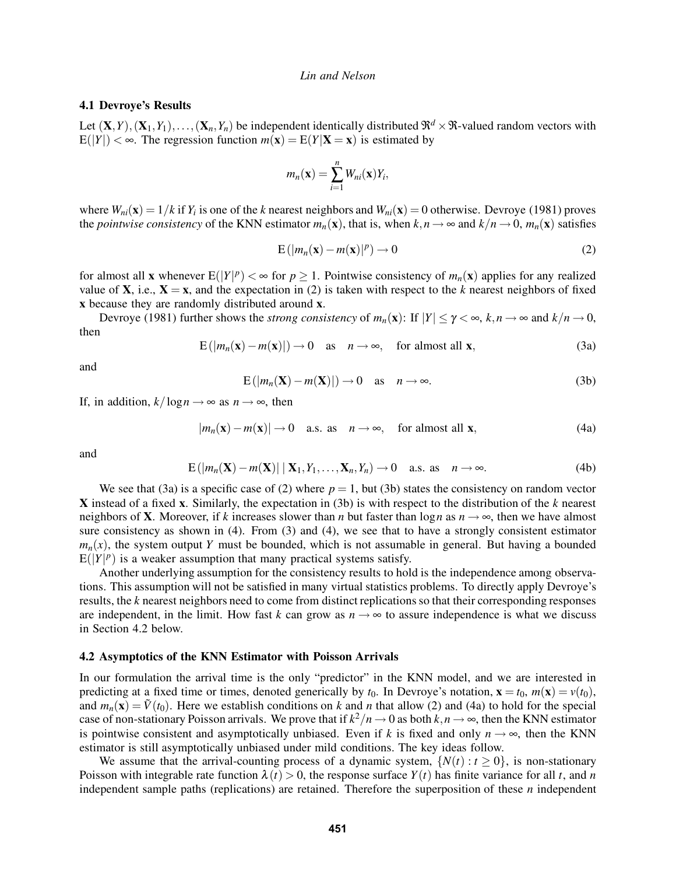## 4.1 Devroye's Results

Let  $(X,Y), (X_1,Y_1),..., (X_n,Y_n)$  be independent identically distributed  $\mathfrak{R}^d \times \mathfrak{R}$ -valued random vectors with  $E(|Y|) < \infty$ . The regression function  $m(\mathbf{x}) = E(Y|\mathbf{X} = \mathbf{x})$  is estimated by

$$
m_n(\mathbf{x}) = \sum_{i=1}^n W_{ni}(\mathbf{x}) Y_i,
$$

where  $W_{ni}(\mathbf{x}) = 1/k$  if  $Y_i$  is one of the k nearest neighbors and  $W_{ni}(\mathbf{x}) = 0$  otherwise. Devroye (1981) proves the pointwise consistency of the KNN estimator  $m_n(\mathbf{x})$ , that is, when  $k,n \to \infty$  and  $k/n \to 0$ ,  $m_n(\mathbf{x})$  satisfies

$$
E(|m_n(\mathbf{x}) - m(\mathbf{x})|^p) \to 0
$$
 (2)

for almost all **x** whenever  $E(|Y|^p) < \infty$  for  $p \ge 1$ . Pointwise consistency of  $m_n(\mathbf{x})$  applies for any realized value of **X**, i.e.,  $X = x$ , and the expectation in (2) is taken with respect to the k nearest neighbors of fixed x because they are randomly distributed around x.

Devroye (1981) further shows the *strong consistency* of  $m_n(\mathbf{x})$ : If  $|Y| \leq \gamma < \infty$ ,  $k, n \to \infty$  and  $k/n \to 0$ , then

$$
E(|m_n(\mathbf{x}) - m(\mathbf{x})|) \to 0 \quad \text{as} \quad n \to \infty, \quad \text{for almost all } \mathbf{x}, \tag{3a}
$$

and

$$
E(|m_n(\mathbf{X}) - m(\mathbf{X})|) \to 0 \quad \text{as} \quad n \to \infty.
$$
 (3b)

If, in addition,  $k/\log n \rightarrow \infty$  as  $n \rightarrow \infty$ , then

$$
|m_n(\mathbf{x}) - m(\mathbf{x})| \to 0 \quad \text{a.s. as} \quad n \to \infty, \quad \text{for almost all } \mathbf{x}, \tag{4a}
$$

and

$$
E(|m_n(\mathbf{X}) - m(\mathbf{X})| \mid \mathbf{X}_1, Y_1, \dots, \mathbf{X}_n, Y_n) \to 0 \quad \text{a.s. as} \quad n \to \infty. \tag{4b}
$$

We see that (3a) is a specific case of (2) where  $p = 1$ , but (3b) states the consistency on random vector X instead of a fixed x. Similarly, the expectation in (3b) is with respect to the distribution of the  $k$  nearest neighbors of **X**. Moreover, if k increases slower than n but faster than  $\log n$  as  $n \to \infty$ , then we have almost sure consistency as shown in (4). From (3) and (4), we see that to have a strongly consistent estimator  $m_n(x)$ , the system output Y must be bounded, which is not assumable in general. But having a bounded  $E(|Y|^p)$  is a weaker assumption that many practical systems satisfy.

Another underlying assumption for the consistency results to hold is the independence among observations. This assumption will not be satisfied in many virtual statistics problems. To directly apply Devroye's results, the k nearest neighbors need to come from distinct replications so that their corresponding responses are independent, in the limit. How fast k can grow as  $n \rightarrow \infty$  to assure independence is what we discuss in Section 4.2 below.

# 4.2 Asymptotics of the KNN Estimator with Poisson Arrivals

In our formulation the arrival time is the only "predictor" in the KNN model, and we are interested in predicting at a fixed time or times, denoted generically by  $t_0$ . In Devroye's notation,  $\mathbf{x} = t_0$ ,  $m(\mathbf{x}) = v(t_0)$ , and  $m_n(\mathbf{x}) = \tilde{V}(t_0)$ . Here we establish conditions on k and n that allow (2) and (4a) to hold for the special case of non-stationary Poisson arrivals. We prove that if  $k^2/n \to 0$  as both  $k,n \to \infty$ , then the KNN estimator is pointwise consistent and asymptotically unbiased. Even if k is fixed and only  $n \to \infty$ , then the KNN estimator is still asymptotically unbiased under mild conditions. The key ideas follow.

We assume that the arrival-counting process of a dynamic system,  $\{N(t): t \geq 0\}$ , is non-stationary Poisson with integrable rate function  $\lambda(t) > 0$ , the response surface  $Y(t)$  has finite variance for all t, and n independent sample paths (replications) are retained. Therefore the superposition of these  $n$  independent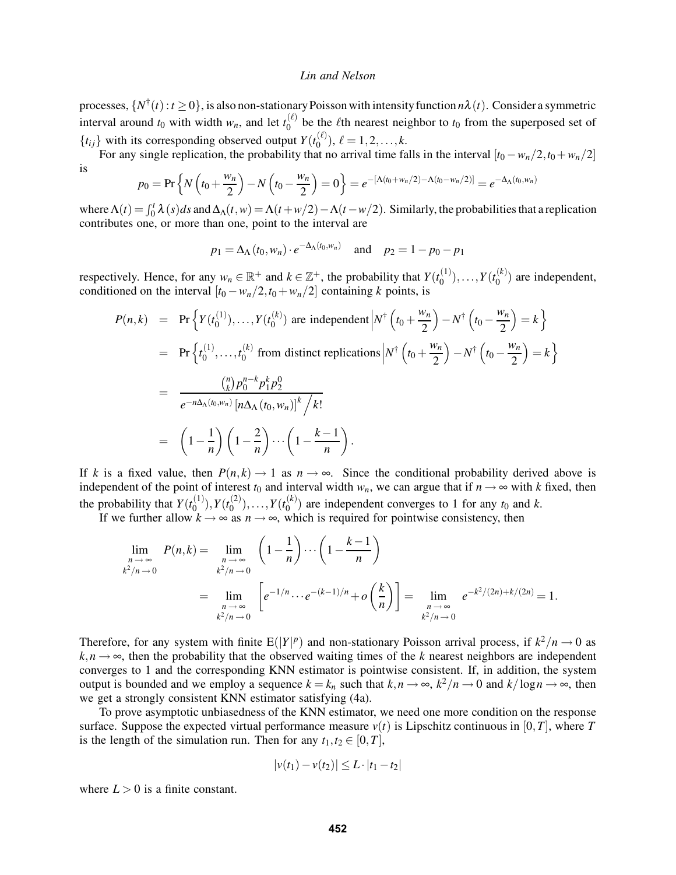processes,  $\{N^{\dagger}(t): t \geq 0\}$ , is also non-stationary Poisson with intensity function  $n\lambda(t)$ . Consider a symmetric interval around  $t_0$  with width  $w_n$ , and let  $t_0^{(\ell)}$  $\binom{1}{0}$  be the *l*th nearest neighbor to  $t_0$  from the superposed set of  $\{t_{ij}\}$  with its corresponding observed output  $Y(t_0^{(\ell)})$  $\binom{(\ell)}{0}$ ,  $\ell = 1, 2, \ldots, k$ .

For any single replication, the probability that no arrival time falls in the interval  $[t_0 - w_n/2, t_0 + w_n/2]$ is

$$
p_0 = \Pr\left\{N\left(t_0 + \frac{w_n}{2}\right) - N\left(t_0 - \frac{w_n}{2}\right)\right\} = e^{-\left[\Lambda(t_0 + w_n/2) - \Lambda(t_0 - w_n/2)\right]} = e^{-\Delta_\Lambda(t_0, w_n)}
$$

where  $\Lambda(t) = \int_0^t \lambda(s)ds$  and  $\Delta_\Lambda(t, w) = \Lambda(t + w/2) - \Lambda(t - w/2)$ . Similarly, the probabilities that a replication contributes one, or more than one, point to the interval are

$$
p_1 = \Delta_{\Lambda}(t_0, w_n) \cdot e^{-\Delta_{\Lambda}(t_0, w_n)}
$$
 and  $p_2 = 1 - p_0 - p_1$ 

respectively. Hence, for any  $w_n \in \mathbb{R}^+$  and  $k \in \mathbb{Z}^+$ , the probability that  $Y(t_0^{(1)})$  $\binom{1}{0}$ ,..., $Y(t_0^{(k)})$  $\binom{1}{0}$  are independent, conditioned on the interval  $[t_0 - w_n/2, t_0 + w_n/2]$  containing k points, is

$$
P(n,k) = \Pr \Big\{ Y(t_0^{(1)}), \dots, Y(t_0^{(k)}) \text{ are independent} \Big| N^{\dagger} \left( t_0 + \frac{w_n}{2} \right) - N^{\dagger} \left( t_0 - \frac{w_n}{2} \right) = k \Big\}
$$
  
\n
$$
= \Pr \Big\{ t_0^{(1)}, \dots, t_0^{(k)} \text{ from distinct replications} \Big| N^{\dagger} \left( t_0 + \frac{w_n}{2} \right) - N^{\dagger} \left( t_0 - \frac{w_n}{2} \right) = k \Big\}
$$
  
\n
$$
= \frac{\binom{n}{k} p_0^{n-k} p_1^k p_2^0}{e^{-n\Delta_{\Lambda}(t_0, w_n)} \left[ n\Delta_{\Lambda}(t_0, w_n) \right]^k / k!}
$$
  
\n
$$
= \left( 1 - \frac{1}{n} \right) \left( 1 - \frac{2}{n} \right) \cdots \left( 1 - \frac{k-1}{n} \right).
$$

If k is a fixed value, then  $P(n, k) \to 1$  as  $n \to \infty$ . Since the conditional probability derived above is independent of the point of interest  $t_0$  and interval width  $w_n$ , we can argue that if  $n \to \infty$  with k fixed, then the probability that  $Y(t_0^{(1)})$  $\binom{(1)}{0}$ ,  $Y(t_0^{(2)})$  $\binom{2}{0}$ ,..., $Y(t_0^{(k)})$  $\binom{1}{0}$  are independent converges to 1 for any  $t_0$  and k.

If we further allow  $k \to \infty$  as  $n \to \infty$ , which is required for pointwise consistency, then

$$
\lim_{\substack{n \to \infty \\ k^2/n \to 0}} P(n,k) = \lim_{\substack{n \to \infty \\ k^2/n \to 0}} \left(1 - \frac{1}{n}\right) \cdots \left(1 - \frac{k-1}{n}\right)
$$
\n
$$
= \lim_{\substack{n \to \infty \\ k^2/n \to 0}} \left[e^{-1/n} \cdots e^{-(k-1)/n} + o\left(\frac{k}{n}\right)\right] = \lim_{\substack{n \to \infty \\ k^2/n \to 0}} e^{-k^2/(2n) + k/(2n)} = 1.
$$

Therefore, for any system with finite  $E(|Y|^p)$  and non-stationary Poisson arrival process, if  $k^2/n \to 0$  as  $k,n \to \infty$ , then the probability that the observed waiting times of the k nearest neighbors are independent converges to 1 and the corresponding KNN estimator is pointwise consistent. If, in addition, the system output is bounded and we employ a sequence  $k = k_n$  such that  $k, n \to \infty$ ,  $k^2/n \to 0$  and  $k/\log n \to \infty$ , then we get a strongly consistent KNN estimator satisfying (4a).

To prove asymptotic unbiasedness of the KNN estimator, we need one more condition on the response surface. Suppose the expected virtual performance measure  $v(t)$  is Lipschitz continuous in [0, T], where T is the length of the simulation run. Then for any  $t_1, t_2 \in [0, T]$ ,

$$
|v(t_1) - v(t_2)| \le L \cdot |t_1 - t_2|
$$

where  $L > 0$  is a finite constant.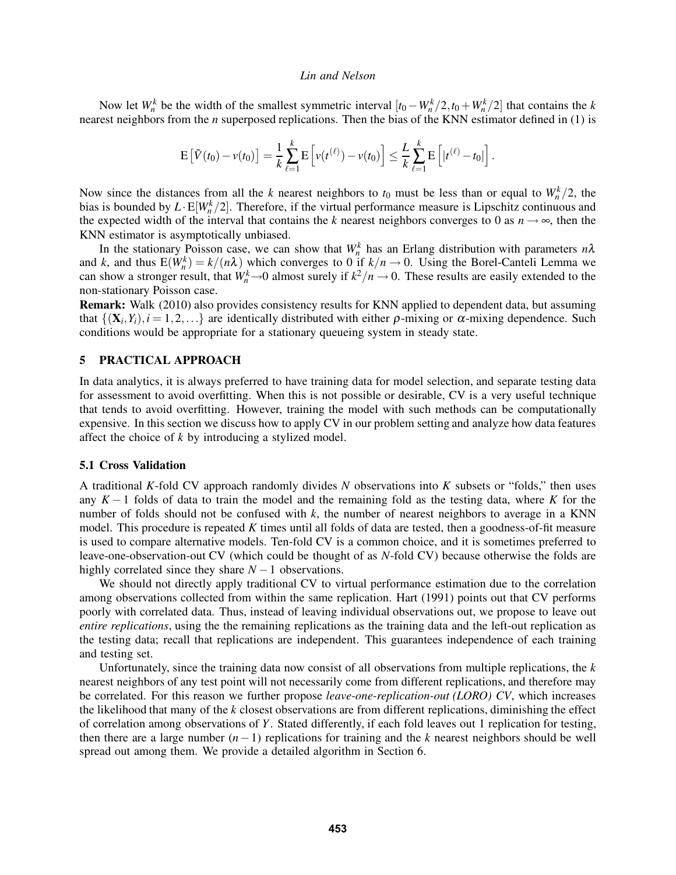Now let  $W_n^k$  be the width of the smallest symmetric interval  $[t_0 - W_n^k/2, t_0 + W_n^k/2]$  that contains the k nearest neighbors from the *n* superposed replications. Then the bias of the KNN estimator defined in (1) is

$$
\mathrm{E}\left[\tilde{V}(t_0)-v(t_0)\right]=\frac{1}{k}\sum_{\ell=1}^k\mathrm{E}\left[v(t^{(\ell)})-v(t_0)\right]\leq\frac{L}{k}\sum_{\ell=1}^k\mathrm{E}\left[|t^{(\ell)}-t_0|\right].
$$

Now since the distances from all the k nearest neighbors to  $t_0$  must be less than or equal to  $W_n^k/2$ , the bias is bounded by  $L \cdot E[W_n^k/2]$ . Therefore, if the virtual performance measure is Lipschitz continuous and the expected width of the interval that contains the k nearest neighbors converges to 0 as  $n \rightarrow \infty$ , then the KNN estimator is asymptotically unbiased.

In the stationary Poisson case, we can show that  $W_n^k$  has an Erlang distribution with parameters  $n\lambda$ and k, and thus  $E(W_n^k) = k/(n\lambda)$  which converges to 0 if  $k/n \to 0$ . Using the Borel-Canteli Lemma we can show a stronger result, that  $W_n^k \to 0$  almost surely if  $k^2/n \to 0$ . These results are easily extended to the non-stationary Poisson case.

Remark: Walk (2010) also provides consistency results for KNN applied to dependent data, but assuming that  $\{(X_i, Y_i), i = 1, 2, ...\}$  are identically distributed with either  $\rho$ -mixing or  $\alpha$ -mixing dependence. Such conditions would be appropriate for a stationary queueing system in steady state.

# 5 PRACTICAL APPROACH

In data analytics, it is always preferred to have training data for model selection, and separate testing data for assessment to avoid overfitting. When this is not possible or desirable, CV is a very useful technique that tends to avoid overfitting. However, training the model with such methods can be computationally expensive. In this section we discuss how to apply CV in our problem setting and analyze how data features affect the choice of k by introducing a stylized model.

### 5.1 Cross Validation

A traditional K-fold CV approach randomly divides N observations into K subsets or "folds," then uses any K − 1 folds of data to train the model and the remaining fold as the testing data, where K for the number of folds should not be confused with  $k$ , the number of nearest neighbors to average in a KNN model. This procedure is repeated K times until all folds of data are tested, then a goodness-of-fit measure is used to compare alternative models. Ten-fold CV is a common choice, and it is sometimes preferred to leave-one-observation-out CV (which could be thought of as N-fold CV) because otherwise the folds are highly correlated since they share  $N - 1$  observations.

We should not directly apply traditional CV to virtual performance estimation due to the correlation among observations collected from within the same replication. Hart (1991) points out that CV performs poorly with correlated data. Thus, instead of leaving individual observations out, we propose to leave out entire replications, using the the remaining replications as the training data and the left-out replication as the testing data; recall that replications are independent. This guarantees independence of each training and testing set.

Unfortunately, since the training data now consist of all observations from multiple replications, the  $k$ nearest neighbors of any test point will not necessarily come from different replications, and therefore may be correlated. For this reason we further propose *leave-one-replication-out (LORO) CV*, which increases the likelihood that many of the  $k$  closest observations are from different replications, diminishing the effect of correlation among observations of Y. Stated differently, if each fold leaves out 1 replication for testing, then there are a large number  $(n-1)$  replications for training and the k nearest neighbors should be well spread out among them. We provide a detailed algorithm in Section 6.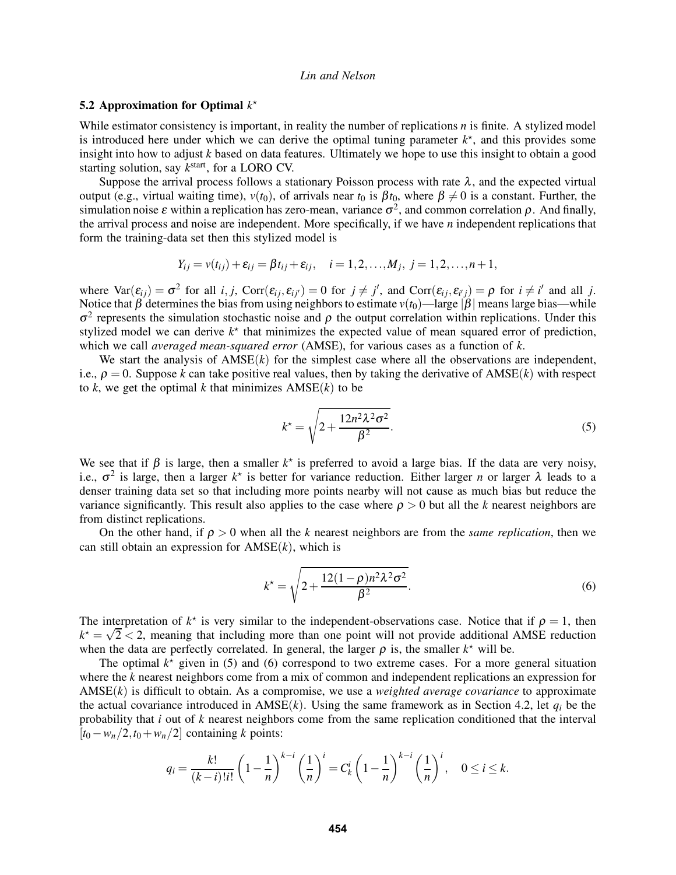# 5.2 Approximation for Optimal  $k^*$

While estimator consistency is important, in reality the number of replications  $n$  is finite. A stylized model is introduced here under which we can derive the optimal tuning parameter  $k^*$ , and this provides some insight into how to adjust  $k$  based on data features. Ultimately we hope to use this insight to obtain a good starting solution, say  $k^{\text{start}}$ , for a LORO CV.

Suppose the arrival process follows a stationary Poisson process with rate  $\lambda$ , and the expected virtual output (e.g., virtual waiting time),  $v(t_0)$ , of arrivals near  $t_0$  is  $\beta t_0$ , where  $\beta \neq 0$  is a constant. Further, the simulation noise  $\varepsilon$  within a replication has zero-mean, variance  $\sigma^2$ , and common correlation  $\rho$ . And finally, the arrival process and noise are independent. More specifically, if we have  $n$  independent replications that form the training-data set then this stylized model is

$$
Y_{ij} = v(t_{ij}) + \varepsilon_{ij} = \beta t_{ij} + \varepsilon_{ij}, \quad i = 1, 2, ..., M_j, j = 1, 2, ..., n + 1,
$$

where  $\text{Var}(\varepsilon_{ij}) = \sigma^2$  for all i, j,  $\text{Corr}(\varepsilon_{ij}, \varepsilon_{ij'}) = 0$  for  $j \neq j'$ , and  $\text{Corr}(\varepsilon_{ij}, \varepsilon_{i'j}) = \rho$  for  $i \neq i'$  and all j. Notice that  $\beta$  determines the bias from using neighbors to estimate  $v(t_0)$ —large  $|\beta|$  means large bias—while  $\sigma^2$  represents the simulation stochastic noise and  $\rho$  the output correlation within replications. Under this stylized model we can derive  $k^*$  that minimizes the expected value of mean squared error of prediction, which we call *averaged mean-squared error* (AMSE), for various cases as a function of  $k$ .

We start the analysis of  $AMSE(k)$  for the simplest case where all the observations are independent, i.e.,  $\rho = 0$ . Suppose k can take positive real values, then by taking the derivative of AMSE(k) with respect to k, we get the optimal k that minimizes  $AMSE(k)$  to be

$$
k^* = \sqrt{2 + \frac{12n^2\lambda^2\sigma^2}{\beta^2}}.
$$
\n(5)

We see that if  $\beta$  is large, then a smaller  $k^*$  is preferred to avoid a large bias. If the data are very noisy, i.e.,  $\sigma^2$  is large, then a larger  $k^*$  is better for variance reduction. Either larger *n* or larger  $\lambda$  leads to a denser training data set so that including more points nearby will not cause as much bias but reduce the variance significantly. This result also applies to the case where  $\rho > 0$  but all the k nearest neighbors are from distinct replications.

On the other hand, if  $\rho > 0$  when all the k nearest neighbors are from the *same replication*, then we can still obtain an expression for  $AMSE(k)$ , which is

$$
k^* = \sqrt{2 + \frac{12(1-\rho)n^2\lambda^2\sigma^2}{\beta^2}}.
$$
\n(6)

The interpretation of  $k^*$  is very similar to the independent-observations case. Notice that if  $\rho = 1$ , then  $k^* = \sqrt{2} < 2$ , meaning that including more than one point will not provide additional AMSE reduction when the data are perfectly correlated. In general, the larger  $\rho$  is, the smaller  $k^*$  will be.

The optimal  $k^*$  given in (5) and (6) correspond to two extreme cases. For a more general situation where the k nearest neighbors come from a mix of common and independent replications an expression for  $AMSE(k)$  is difficult to obtain. As a compromise, we use a *weighted average covariance* to approximate the actual covariance introduced in  $AMSE(k)$ . Using the same framework as in Section 4.2, let  $q_i$  be the probability that i out of k nearest neighbors come from the same replication conditioned that the interval  $[t<sub>0</sub> - w<sub>n</sub>/2, t<sub>0</sub> + w<sub>n</sub>/2]$  containing k points:

$$
q_i = \frac{k!}{(k-i)!i!} \left(1 - \frac{1}{n}\right)^{k-i} \left(\frac{1}{n}\right)^i = C_k^i \left(1 - \frac{1}{n}\right)^{k-i} \left(\frac{1}{n}\right)^i, \quad 0 \le i \le k.
$$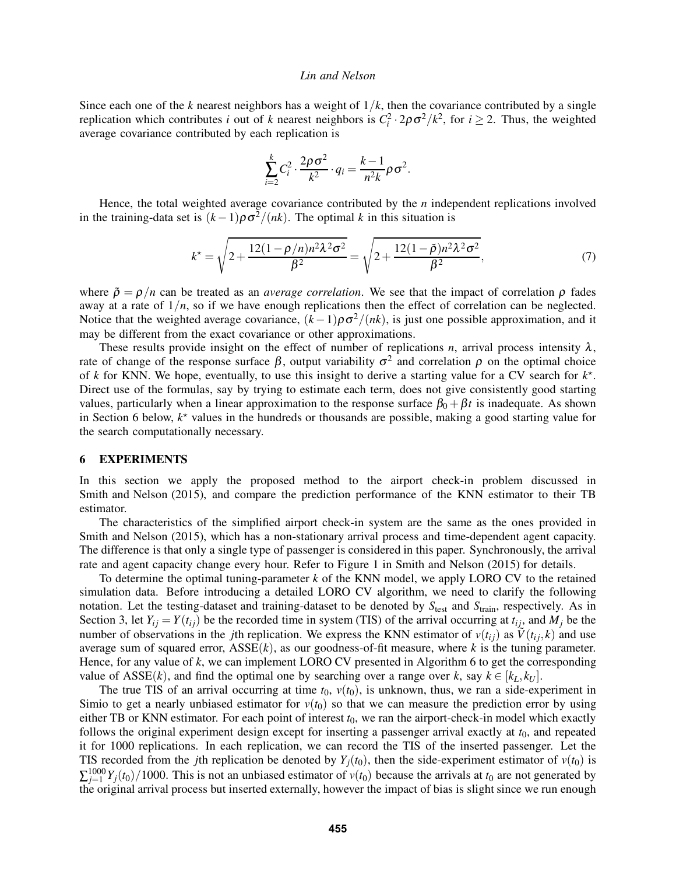Since each one of the k nearest neighbors has a weight of  $1/k$ , then the covariance contributed by a single replication which contributes *i* out of *k* nearest neighbors is  $C_i^2 \cdot 2\rho \sigma^2 / k^2$ , for  $i \ge 2$ . Thus, the weighted average covariance contributed by each replication is

$$
\sum_{i=2}^k C_i^2 \cdot \frac{2\rho\sigma^2}{k^2} \cdot q_i = \frac{k-1}{n^2k} \rho\sigma^2.
$$

Hence, the total weighted average covariance contributed by the  $n$  independent replications involved in the training-data set is  $(k-1)\rho\sigma^2/(nk)$ . The optimal k in this situation is

$$
k^* = \sqrt{2 + \frac{12(1 - \rho/n)n^2\lambda^2\sigma^2}{\beta^2}} = \sqrt{2 + \frac{12(1 - \tilde{\rho})n^2\lambda^2\sigma^2}{\beta^2}},
$$
(7)

where  $\tilde{\rho} = \rho/n$  can be treated as an *average correlation*. We see that the impact of correlation  $\rho$  fades away at a rate of  $1/n$ , so if we have enough replications then the effect of correlation can be neglected. Notice that the weighted average covariance,  $(k-1)\rho\sigma^2/(nk)$ , is just one possible approximation, and it may be different from the exact covariance or other approximations.

These results provide insight on the effect of number of replications n, arrival process intensity  $\lambda$ , rate of change of the response surface  $\beta$ , output variability  $\sigma^2$  and correlation  $\rho$  on the optimal choice of k for KNN. We hope, eventually, to use this insight to derive a starting value for a CV search for  $k^*$ . Direct use of the formulas, say by trying to estimate each term, does not give consistently good starting values, particularly when a linear approximation to the response surface  $\beta_0 + \beta t$  is inadequate. As shown in Section 6 below,  $k^*$  values in the hundreds or thousands are possible, making a good starting value for the search computationally necessary.

## 6 EXPERIMENTS

In this section we apply the proposed method to the airport check-in problem discussed in Smith and Nelson (2015), and compare the prediction performance of the KNN estimator to their TB estimator.

The characteristics of the simplified airport check-in system are the same as the ones provided in Smith and Nelson (2015), which has a non-stationary arrival process and time-dependent agent capacity. The difference is that only a single type of passenger is considered in this paper. Synchronously, the arrival rate and agent capacity change every hour. Refer to Figure 1 in Smith and Nelson (2015) for details.

To determine the optimal tuning-parameter  $k$  of the KNN model, we apply LORO CV to the retained simulation data. Before introducing a detailed LORO CV algorithm, we need to clarify the following notation. Let the testing-dataset and training-dataset to be denoted by  $S_{test}$  and  $S_{train}$ , respectively. As in Section 3, let  $Y_{ij} = Y(t_{ij})$  be the recorded time in system (TIS) of the arrival occurring at  $t_{ij}$ , and  $M_j$  be the number of observations in the *j*th replication. We express the KNN estimator of  $v(t_{ij})$  as  $\tilde{V}(t_{ij}, k)$  and use average sum of squared error,  $ASSE(k)$ , as our goodness-of-fit measure, where k is the tuning parameter. Hence, for any value of  $k$ , we can implement LORO CV presented in Algorithm 6 to get the corresponding value of ASSE(k), and find the optimal one by searching over a range over k, say  $k \in [k_L, k_U]$ .

The true TIS of an arrival occurring at time  $t_0$ ,  $v(t_0)$ , is unknown, thus, we ran a side-experiment in Simio to get a nearly unbiased estimator for  $v(t_0)$  so that we can measure the prediction error by using either TB or KNN estimator. For each point of interest  $t_0$ , we ran the airport-check-in model which exactly follows the original experiment design except for inserting a passenger arrival exactly at  $t<sub>0</sub>$ , and repeated it for 1000 replications. In each replication, we can record the TIS of the inserted passenger. Let the TIS recorded from the jth replication be denoted by  $Y_j(t_0)$ , then the side-experiment estimator of  $v(t_0)$  is  $\sum_{j=1}^{1000} Y_j(t_0)/1000$ . This is not an unbiased estimator of  $v(t_0)$  because the arrivals at  $t_0$  are not generated by the original arrival process but inserted externally, however the impact of bias is slight since we run enough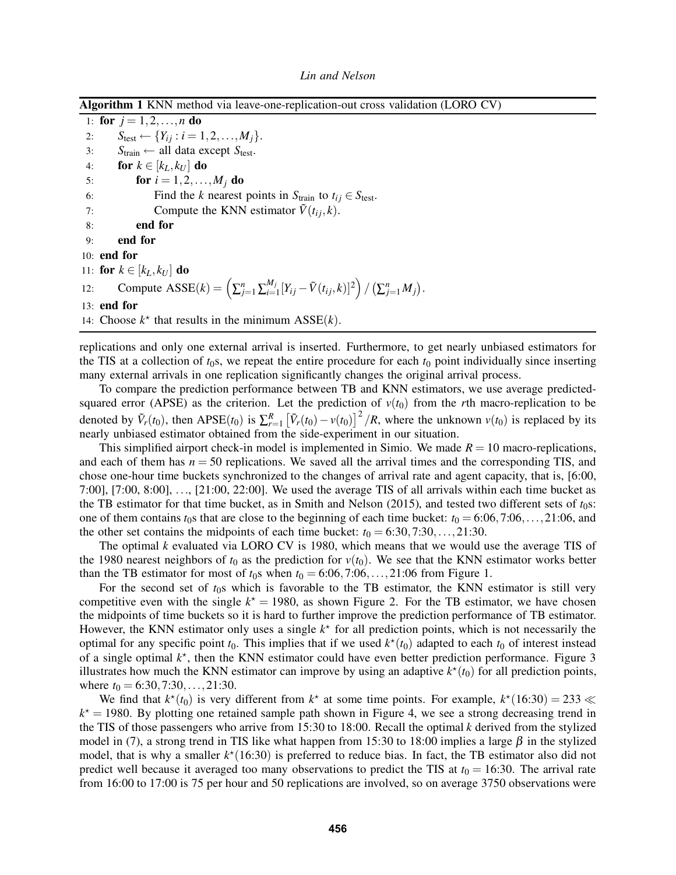Algorithm 1 KNN method via leave-one-replication-out cross validation (LORO CV)

1: for  $j = 1, 2, ..., n$  do 2:  $S_{\text{test}} \leftarrow \{Y_{ij} : i = 1, 2, ..., M_j\}.$ <br>3:  $S_{\text{train}} \leftarrow \text{all data except } S_{\text{test}}.$ 3:  $S_{\text{train}} \leftarrow \text{all data except } S_{\text{test}}.$ <br>4: **for**  $k \in [k_L, k_U]$  **do** 4: **for**  $k \in [k_L, k_U]$  **do**<br>5: **for**  $i = 1, 2, ...$ **for**  $i = 1, 2, ..., M_j$  **do** 6: Find the k nearest points in  $S_{\text{train}}$  to  $t_{ij} \in S_{\text{test}}$ .<br>7: Compute the KNN estimator  $\tilde{V}(t_{ij}, k)$ . Compute the KNN estimator  $\tilde{V}(t_{ij}, k)$ . 8: end for 9: end for 10: end for 11: for  $k \in [k_L, k_U]$  do 12: Compute  $\text{ASSE}(k) = \left(\sum_{j=1}^n \sum_{i=1}^{M_j}\right)$  $_{i=1}^{M_j}[Y_{ij}\!-\!\tilde{V}(t_{ij},\!k)]^2\Bigr)\,/\,\bigl(\textstyle{\sum_{j=1}^n}M_j\bigr).$ 13: end for 14: Choose  $k^*$  that results in the minimum  $ASSE(k)$ .

replications and only one external arrival is inserted. Furthermore, to get nearly unbiased estimators for the TIS at a collection of  $t_0$ s, we repeat the entire procedure for each  $t_0$  point individually since inserting many external arrivals in one replication significantly changes the original arrival process.

To compare the prediction performance between TB and KNN estimators, we use average predictedsquared error (APSE) as the criterion. Let the prediction of  $v(t_0)$  from the rth macro-replication to be denoted by  $\tilde{V}_r(t_0)$ , then APSE( $t_0$ ) is  $\sum_{r=1}^{R} [\tilde{V}_r(t_0) - v(t_0)]^2 / R$ , where the unknown  $v(t_0)$  is replaced by its nearly unbiased estimator obtained from the side-experiment in our situation.

This simplified airport check-in model is implemented in Simio. We made  $R = 10$  macro-replications, and each of them has  $n = 50$  replications. We saved all the arrival times and the corresponding TIS, and chose one-hour time buckets synchronized to the changes of arrival rate and agent capacity, that is, [6:00, 7:00], [7:00, 8:00], ..., [21:00, 22:00]. We used the average TIS of all arrivals within each time bucket as the TB estimator for that time bucket, as in Smith and Nelson (2015), and tested two different sets of  $t<sub>0</sub>$ s: one of them contains  $t_0$ s that are close to the beginning of each time bucket:  $t_0 = 6:06,7:06,\ldots,21:06$ , and the other set contains the midpoints of each time bucket:  $t_0 = 6:30, 7:30,...,21:30$ .

The optimal  $k$  evaluated via LORO CV is 1980, which means that we would use the average TIS of the 1980 nearest neighbors of  $t_0$  as the prediction for  $v(t_0)$ . We see that the KNN estimator works better than the TB estimator for most of  $t_0$ s when  $t_0 = 6:06,7:06,\ldots,21:06$  from Figure 1.

For the second set of  $t_0$ s which is favorable to the TB estimator, the KNN estimator is still very competitive even with the single  $k^* = 1980$ , as shown Figure 2. For the TB estimator, we have chosen the midpoints of time buckets so it is hard to further improve the prediction performance of TB estimator. However, the KNN estimator only uses a single  $k<sup>*</sup>$  for all prediction points, which is not necessarily the optimal for any specific point  $t_0$ . This implies that if we used  $k^*(t_0)$  adapted to each  $t_0$  of interest instead of a single optimal  $k^*$ , then the KNN estimator could have even better prediction performance. Figure 3 illustrates how much the KNN estimator can improve by using an adaptive  $k^*(t_0)$  for all prediction points, where  $t_0 = 6:30, 7:30, \ldots, 21:30$ .

We find that  $k^*(t_0)$  is very different from  $k^*$  at some time points. For example,  $k^*(16:30) = 233 \ll 16000$  $k^* = 1980$ . By plotting one retained sample path shown in Figure 4, we see a strong decreasing trend in the TIS of those passengers who arrive from 15:30 to 18:00. Recall the optimal k derived from the stylized model in (7), a strong trend in TIS like what happen from 15:30 to 18:00 implies a large  $\beta$  in the stylized model, that is why a smaller  $k*(16:30)$  is preferred to reduce bias. In fact, the TB estimator also did not predict well because it averaged too many observations to predict the TIS at  $t_0 = 16:30$ . The arrival rate from 16:00 to 17:00 is 75 per hour and 50 replications are involved, so on average 3750 observations were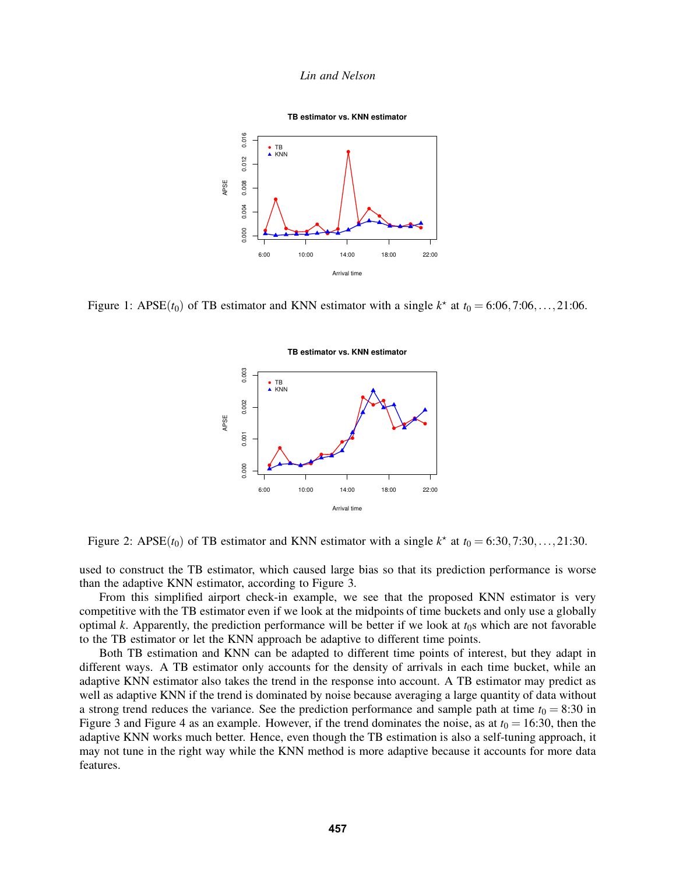

Figure 1: APSE( $t_0$ ) of TB estimator and KNN estimator with a single  $k^*$  at  $t_0 = 6:06, 7:06, \ldots, 21:06$ .



Figure 2: APSE( $t_0$ ) of TB estimator and KNN estimator with a single  $k^*$  at  $t_0 = 6:30, 7:30, \ldots, 21:30$ .

used to construct the TB estimator, which caused large bias so that its prediction performance is worse than the adaptive KNN estimator, according to Figure 3.

From this simplified airport check-in example, we see that the proposed KNN estimator is very competitive with the TB estimator even if we look at the midpoints of time buckets and only use a globally optimal k. Apparently, the prediction performance will be better if we look at  $t_0$ s which are not favorable to the TB estimator or let the KNN approach be adaptive to different time points.

Both TB estimation and KNN can be adapted to different time points of interest, but they adapt in different ways. A TB estimator only accounts for the density of arrivals in each time bucket, while an adaptive KNN estimator also takes the trend in the response into account. A TB estimator may predict as well as adaptive KNN if the trend is dominated by noise because averaging a large quantity of data without a strong trend reduces the variance. See the prediction performance and sample path at time  $t_0 = 8:30$  in Figure 3 and Figure 4 as an example. However, if the trend dominates the noise, as at  $t_0 = 16:30$ , then the adaptive KNN works much better. Hence, even though the TB estimation is also a self-tuning approach, it may not tune in the right way while the KNN method is more adaptive because it accounts for more data features.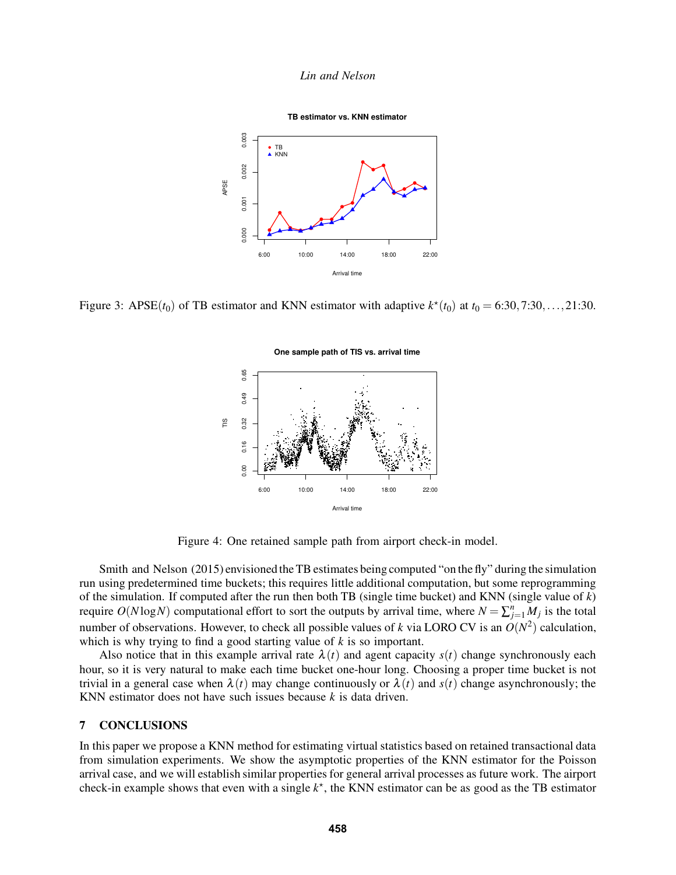

Figure 3: APSE( $t_0$ ) of TB estimator and KNN estimator with adaptive  $k^*(t_0)$  at  $t_0 = 6:30, 7:30, \ldots, 21:30$ .



One sample path of TIS vs. arrival time

Figure 4: One retained sample path from airport check-in model.

Smith and Nelson (2015) envisioned the TB estimates being computed "on the fly" during the simulation run using predetermined time buckets; this requires little additional computation, but some reprogramming of the simulation. If computed after the run then both TB (single time bucket) and KNN (single value of  $k$ ) require  $O(N \log N)$  computational effort to sort the outputs by arrival time, where  $N = \sum_{j=1}^{n} M_j$  is the total number of observations. However, to check all possible values of k via LORO CV is an  $O(N^2)$  calculation, which is why trying to find a good starting value of  $k$  is so important.

Also notice that in this example arrival rate  $\lambda(t)$  and agent capacity  $s(t)$  change synchronously each hour, so it is very natural to make each time bucket one-hour long. Choosing a proper time bucket is not trivial in a general case when  $\lambda(t)$  may change continuously or  $\lambda(t)$  and  $s(t)$  change asynchronously; the KNN estimator does not have such issues because  $k$  is data driven.

# 7 CONCLUSIONS

In this paper we propose a KNN method for estimating virtual statistics based on retained transactional data from simulation experiments. We show the asymptotic properties of the KNN estimator for the Poisson arrival case, and we will establish similar properties for general arrival processes as future work. The airport check-in example shows that even with a single  $k^*$ , the KNN estimator can be as good as the TB estimator